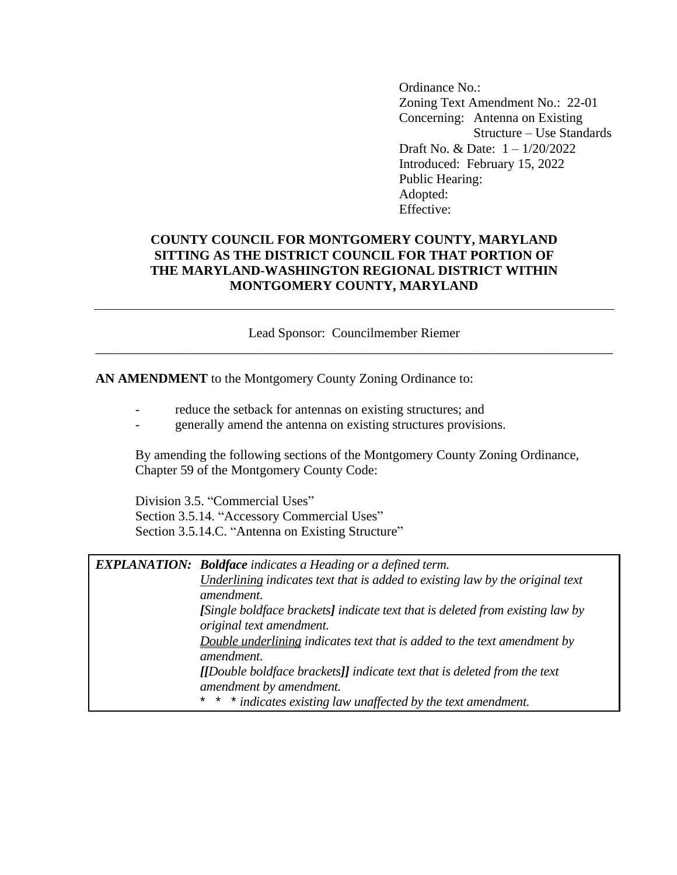Ordinance No.: Zoning Text Amendment No.: 22-01 Concerning: Antenna on Existing Structure – Use Standards Draft No. & Date: 1 – 1/20/2022 Introduced: February 15, 2022 Public Hearing: Adopted: Effective:

## **COUNTY COUNCIL FOR MONTGOMERY COUNTY, MARYLAND SITTING AS THE DISTRICT COUNCIL FOR THAT PORTION OF THE MARYLAND-WASHINGTON REGIONAL DISTRICT WITHIN MONTGOMERY COUNTY, MARYLAND**

Lead Sponsor: Councilmember Riemer \_\_\_\_\_\_\_\_\_\_\_\_\_\_\_\_\_\_\_\_\_\_\_\_\_\_\_\_\_\_\_\_\_\_\_\_\_\_\_\_\_\_\_\_\_\_\_\_\_\_\_\_\_\_\_\_\_\_\_\_\_\_\_\_\_\_\_\_\_\_\_\_\_\_\_\_\_\_

**AN AMENDMENT** to the Montgomery County Zoning Ordinance to:

- reduce the setback for antennas on existing structures; and
- generally amend the antenna on existing structures provisions.

By amending the following sections of the Montgomery County Zoning Ordinance, Chapter 59 of the Montgomery County Code:

Division 3.5. "Commercial Uses" Section 3.5.14. "Accessory Commercial Uses" Section 3.5.14.C. "Antenna on Existing Structure"

| <b>EXPLANATION:</b> Boldface indicates a Heading or a defined term.           |  |  |  |
|-------------------------------------------------------------------------------|--|--|--|
| Underlining indicates text that is added to existing law by the original text |  |  |  |
| amendment.                                                                    |  |  |  |
| [Single boldface brackets] indicate text that is deleted from existing law by |  |  |  |
| original text amendment.                                                      |  |  |  |
| Double underlining indicates text that is added to the text amendment by      |  |  |  |
| amendment.                                                                    |  |  |  |
| [[Double boldface brackets]] indicate text that is deleted from the text      |  |  |  |
| amendment by amendment.                                                       |  |  |  |
| * * * indicates existing law unaffected by the text amendment.                |  |  |  |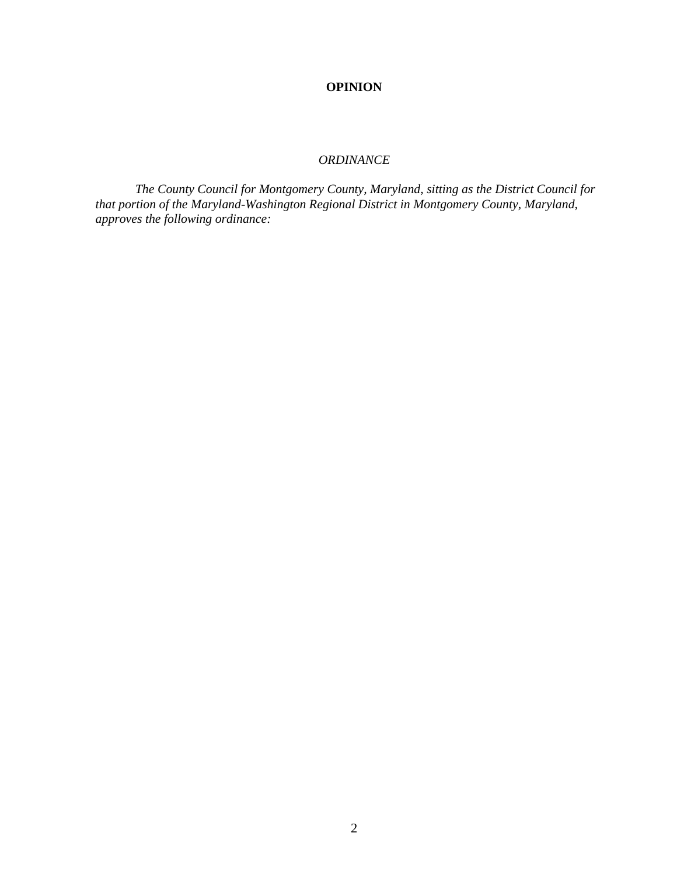## **OPINION**

## *ORDINANCE*

*The County Council for Montgomery County, Maryland, sitting as the District Council for that portion of the Maryland-Washington Regional District in Montgomery County, Maryland, approves the following ordinance:*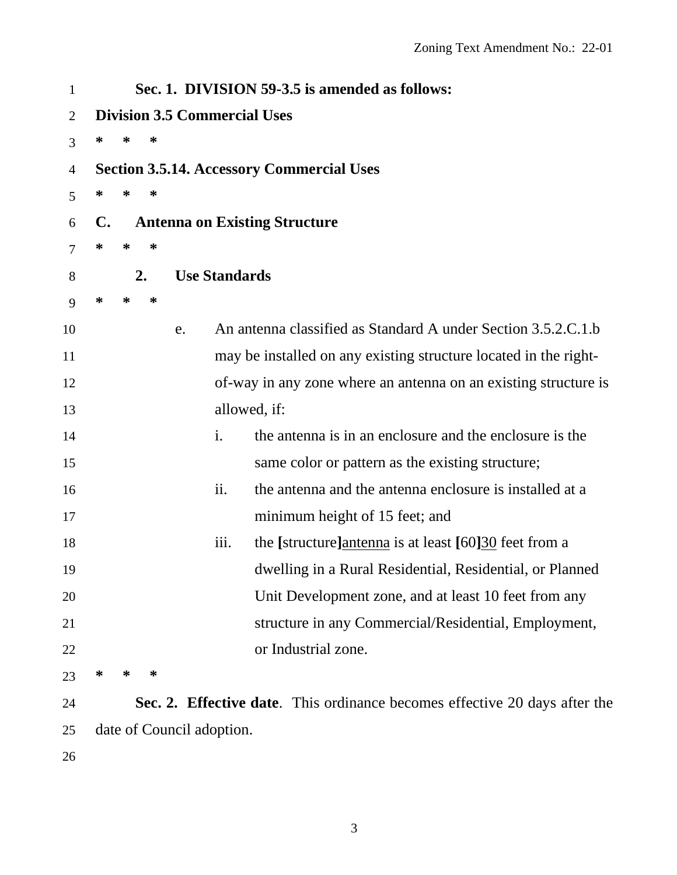| $\mathbf{1}$   |                                     |   |    |    |                      | Sec. 1. DIVISION 59-3.5 is amended as follows:                             |  |  |
|----------------|-------------------------------------|---|----|----|----------------------|----------------------------------------------------------------------------|--|--|
| $\overline{2}$ | <b>Division 3.5 Commercial Uses</b> |   |    |    |                      |                                                                            |  |  |
| 3              | ∗                                   | ∗ | ∗  |    |                      |                                                                            |  |  |
| 4              |                                     |   |    |    |                      | <b>Section 3.5.14. Accessory Commercial Uses</b>                           |  |  |
| 5              | $\ast$                              | ∗ | ∗  |    |                      |                                                                            |  |  |
| 6              | $\mathbf{C}$ .                      |   |    |    |                      | <b>Antenna on Existing Structure</b>                                       |  |  |
| 7              | $\ast$                              | ∗ | ∗  |    |                      |                                                                            |  |  |
| 8              |                                     |   | 2. |    | <b>Use Standards</b> |                                                                            |  |  |
| 9              | ∗                                   | ∗ | ∗  |    |                      |                                                                            |  |  |
| 10             |                                     |   |    | e. |                      | An antenna classified as Standard A under Section 3.5.2.C.1.b              |  |  |
| 11             |                                     |   |    |    |                      | may be installed on any existing structure located in the right-           |  |  |
| 12             |                                     |   |    |    |                      | of-way in any zone where an antenna on an existing structure is            |  |  |
| 13             |                                     |   |    |    |                      | allowed, if:                                                               |  |  |
| 14             |                                     |   |    |    | $\mathbf{i}$ .       | the antenna is in an enclosure and the enclosure is the                    |  |  |
| 15             |                                     |   |    |    |                      | same color or pattern as the existing structure;                           |  |  |
| 16             |                                     |   |    |    | ii.                  | the antenna and the antenna enclosure is installed at a                    |  |  |
| 17             |                                     |   |    |    |                      | minimum height of 15 feet; and                                             |  |  |
| 18             |                                     |   |    |    | iii.                 | the [structure]antenna is at least [60]30 feet from a                      |  |  |
| 19             |                                     |   |    |    |                      | dwelling in a Rural Residential, Residential, or Planned                   |  |  |
| 20             |                                     |   |    |    |                      | Unit Development zone, and at least 10 feet from any                       |  |  |
| 21             |                                     |   |    |    |                      | structure in any Commercial/Residential, Employment,                       |  |  |
| 22             |                                     |   |    |    |                      | or Industrial zone.                                                        |  |  |
| 23             | ∗                                   | ∗ | ∗  |    |                      |                                                                            |  |  |
| 24             |                                     |   |    |    |                      | Sec. 2. Effective date. This ordinance becomes effective 20 days after the |  |  |
| 25             | date of Council adoption.           |   |    |    |                      |                                                                            |  |  |
| 26             |                                     |   |    |    |                      |                                                                            |  |  |